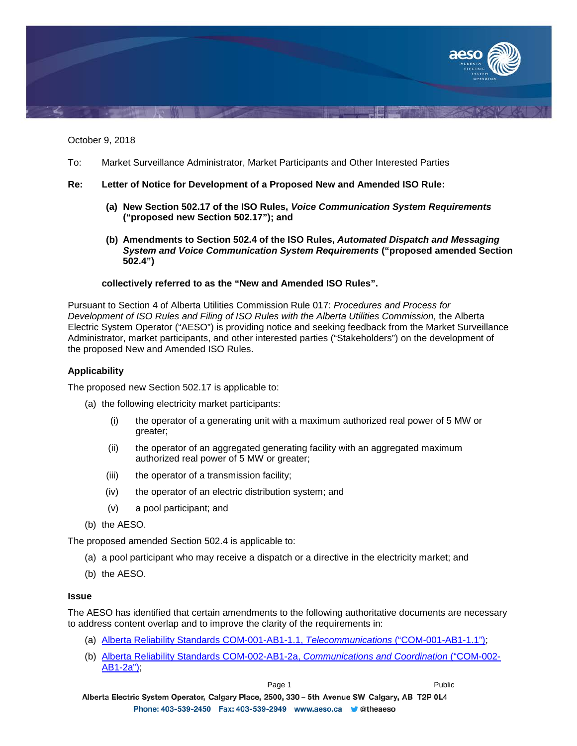

October 9, 2018

To: Market Surveillance Administrator, Market Participants and Other Interested Parties

## **Re: Letter of Notice for Development of a Proposed New and Amended ISO Rule:**

- **(a) New Section 502.17 of the ISO Rules,** *Voice Communication System Requirements* **("proposed new Section 502.17"); and**
- **(b) Amendments to Section 502.4 of the ISO Rules,** *Automated Dispatch and Messaging System and Voice Communication System Requirements* **("proposed amended Section 502.4")**

## **collectively referred to as the "New and Amended ISO Rules".**

Pursuant to Section 4 of Alberta Utilities Commission Rule 017: *Procedures and Process for*  **Development of ISO Rules and Filing of ISO Rules with the Alberta Utilities Commission, the Alberta** Electric System Operator ("AESO") is providing notice and seeking feedback from the Market Surveillance Administrator, market participants, and other interested parties ("Stakeholders") on the development of the proposed New and Amended ISO Rules.

# **Applicability**

The proposed new Section 502.17 is applicable to:

- (a) the following electricity market participants:
	- (i) the operator of a generating unit with a maximum authorized real power of 5 MW or greater;
	- (ii) the operator of an aggregated generating facility with an aggregated maximum authorized real power of 5 MW or greater;
	- (iii) the operator of a transmission facility;
	- (iv) the operator of an electric distribution system; and
	- (v) a pool participant; and
- (b) the AESO.

The proposed amended Section 502.4 is applicable to:

- (a) a pool participant who may receive a dispatch or a directive in the electricity market; and
- (b) the AESO.

### **Issue**

The AESO has identified that certain amendments to the following authoritative documents are necessary to address content overlap and to improve the clarity of the requirements in:

- (a) [Alberta Reliability Standards COM-001-AB1-1.1,](https://www.aeso.ca/assets/documents/COM-001-AB1-1.1.pdf) *Telecommunications* ("COM-001-AB1-1.1");
- (b) [Alberta Reliability Standards COM-002-AB1-2a,](https://www.aeso.ca/assets/documents/COM-002-AB1-2a-Communications-and-Coordination2.pdf) *Communications and Coordination* ("COM-002- [AB1-2a"\);](https://www.aeso.ca/assets/documents/COM-002-AB1-2a-Communications-and-Coordination2.pdf)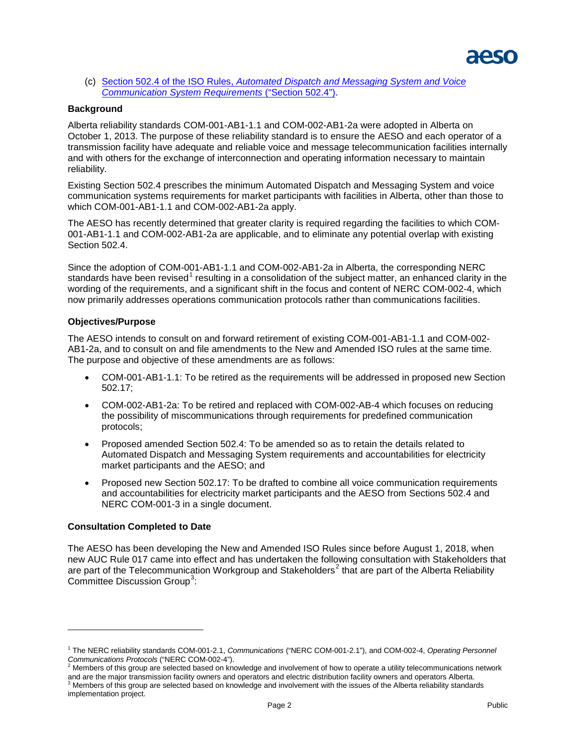

(c) Section 502.4 of the ISO Rules, *[Automated Dispatch and Messaging System and Voice](https://www.aeso.ca/assets/documents/Division-502-Section-502-4-Automated-Dispatch-March-27-2015.pdf)  [Communication System Requirements](https://www.aeso.ca/assets/documents/Division-502-Section-502-4-Automated-Dispatch-March-27-2015.pdf)* ("Section 502.4").

#### **Background**

Alberta reliability standards COM-001-AB1-1.1 and COM-002-AB1-2a were adopted in Alberta on October 1, 2013. The purpose of these reliability standard is to ensure the AESO and each operator of a transmission facility have adequate and reliable voice and message telecommunication facilities internally and with others for the exchange of interconnection and operating information necessary to maintain reliability.

Existing Section 502.4 prescribes the minimum Automated Dispatch and Messaging System and voice communication systems requirements for market participants with facilities in Alberta, other than those to which COM-001-AB1-1.1 and COM-002-AB1-2a apply.

The AESO has recently determined that greater clarity is required regarding the facilities to which COM-001-AB1-1.1 and COM-002-AB1-2a are applicable, and to eliminate any potential overlap with existing Section 502.4.

Since the adoption of COM-001-AB1-1.1 and COM-002-AB1-2a in Alberta, the corresponding NERC standards have been revised<sup>[1](#page-1-0)</sup> resulting in a consolidation of the subject matter, an enhanced clarity in the wording of the requirements, and a significant shift in the focus and content of NERC COM-002-4, which now primarily addresses operations communication protocols rather than communications facilities.

### **Objectives/Purpose**

The AESO intends to consult on and forward retirement of existing COM-001-AB1-1.1 and COM-002- AB1-2a, and to consult on and file amendments to the New and Amended ISO rules at the same time. The purpose and objective of these amendments are as follows:

- COM-001-AB1-1.1: To be retired as the requirements will be addressed in proposed new Section 502.17;
- COM-002-AB1-2a: To be retired and replaced with COM-002-AB-4 which focuses on reducing the possibility of miscommunications through requirements for predefined communication protocols;
- Proposed amended Section 502.4: To be amended so as to retain the details related to Automated Dispatch and Messaging System requirements and accountabilities for electricity market participants and the AESO; and
- Proposed new Section 502.17: To be drafted to combine all voice communication requirements and accountabilities for electricity market participants and the AESO from Sections 502.4 and NERC COM-001-3 in a single document.

## **Consultation Completed to Date**

 $\ddot{\phantom{a}}$ 

The AESO has been developing the New and Amended ISO Rules since before August 1, 2018, when new AUC Rule 017 came into effect and has undertaken the following consultation with Stakeholders that are part of the Telecommunication Workgroup and Stakeholders<sup>[2](#page-1-1)</sup> that are part of the Alberta Reliability Committee Discussion Group<sup>[3](#page-1-2)</sup>:

<span id="page-1-0"></span><sup>1</sup> The NERC reliability standards COM-001-2.1, *Communications* ("NERC COM-001-2.1"), and COM-002-4, *Operating Personnel Communications Protocols* ("NERC COM-002-4"). 2 Members of this group are selected based on knowledge and involvement of how to operate a utility telecommunications network

<span id="page-1-2"></span><span id="page-1-1"></span>and are the major transmission facility owners and operators and electric distribution facility owners and operators. The major transmission facility owners and operators and electric distribution facility owners and opera implementation project.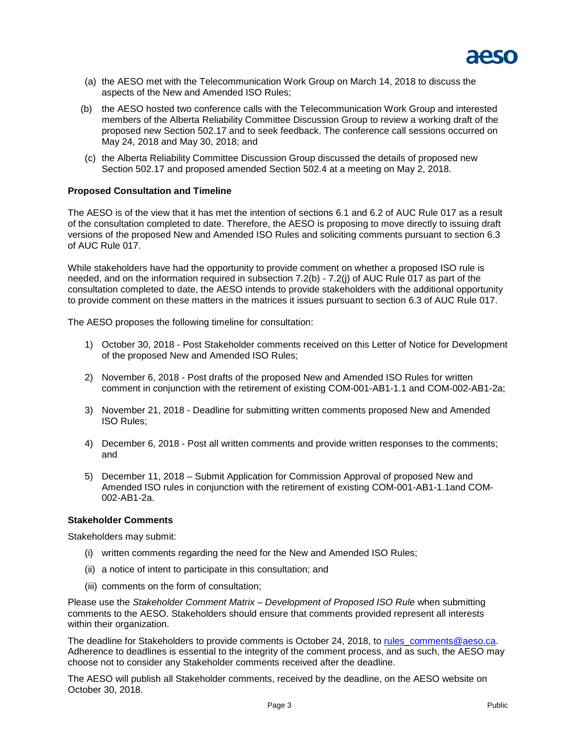

- (a) the AESO met with the Telecommunication Work Group on March 14, 2018 to discuss the aspects of the New and Amended ISO Rules;
- (b) the AESO hosted two conference calls with the Telecommunication Work Group and interested members of the Alberta Reliability Committee Discussion Group to review a working draft of the proposed new Section 502.17 and to seek feedback. The conference call sessions occurred on May 24, 2018 and May 30, 2018; and
- (c) the Alberta Reliability Committee Discussion Group discussed the details of proposed new Section 502.17 and proposed amended Section 502.4 at a meeting on May 2, 2018.

## **Proposed Consultation and Timeline**

The AESO is of the view that it has met the intention of sections 6.1 and 6.2 of AUC Rule 017 as a result of the consultation completed to date. Therefore, the AESO is proposing to move directly to issuing draft versions of the proposed New and Amended ISO Rules and soliciting comments pursuant to section 6.3 of AUC Rule 017.

While stakeholders have had the opportunity to provide comment on whether a proposed ISO rule is needed, and on the information required in subsection 7.2(b) - 7.2(j) of AUC Rule 017 as part of the consultation completed to date, the AESO intends to provide stakeholders with the additional opportunity to provide comment on these matters in the matrices it issues pursuant to section 6.3 of AUC Rule 017.

The AESO proposes the following timeline for consultation:

- 1) October 30, 2018 Post Stakeholder comments received on this Letter of Notice for Development of the proposed New and Amended ISO Rules;
- 2) November 6, 2018 Post drafts of the proposed New and Amended ISO Rules for written comment in conjunction with the retirement of existing COM-001-AB1-1.1 and COM-002-AB1-2a;
- 3) November 21, 2018 Deadline for submitting written comments proposed New and Amended ISO Rules;
- 4) December 6, 2018 Post all written comments and provide written responses to the comments; and
- 5) December 11, 2018 Submit Application for Commission Approval of proposed New and Amended ISO rules in conjunction with the retirement of existing COM-001-AB1-1.1and COM-002-AB1-2a.

#### **Stakeholder Comments**

Stakeholders may submit:

- (i) written comments regarding the need for the New and Amended ISO Rules;
- (ii) a notice of intent to participate in this consultation; and
- (iii) comments on the form of consultation;

Please use the *Stakeholder Comment Matrix – Development of Proposed ISO Rule* when submitting comments to the AESO. Stakeholders should ensure that comments provided represent all interests within their organization.

The deadline for Stakeholders to provide comments is October 24, 2018, to [rules\\_comments@aeso.ca.](mailto:rules_comments@aeso.ca) Adherence to deadlines is essential to the integrity of the comment process, and as such, the AESO may choose not to consider any Stakeholder comments received after the deadline.

The AESO will publish all Stakeholder comments, received by the deadline, on the AESO website on October 30, 2018.